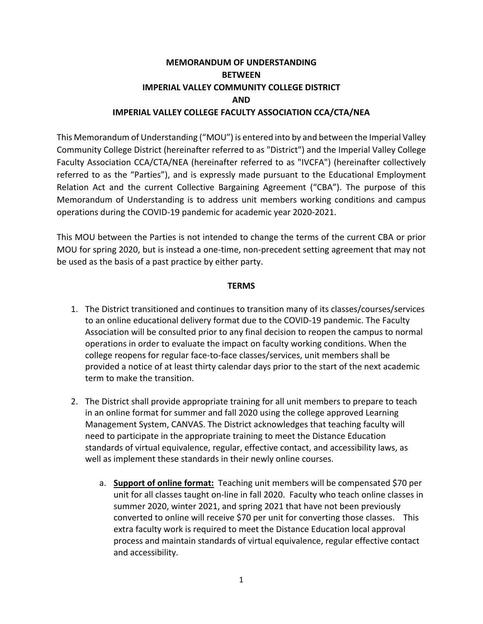### **MEMORANDUM OF UNDERSTANDING BETWEEN IMPERIAL VALLEY COMMUNITY COLLEGE DISTRICT AND IMPERIAL VALLEY COLLEGE FACULTY ASSOCIATION CCA/CTA/NEA**

This Memorandum of Understanding ("MOU") is entered into by and between the Imperial Valley Community College District (hereinafter referred to as "District") and the Imperial Valley College Faculty Association CCA/CTA/NEA (hereinafter referred to as "IVCFA") (hereinafter collectively referred to as the "Parties"), and is expressly made pursuant to the Educational Employment Relation Act and the current Collective Bargaining Agreement ("CBA"). The purpose of this Memorandum of Understanding is to address unit members working conditions and campus operations during the COVID-19 pandemic for academic year 2020-2021.

This MOU between the Parties is not intended to change the terms of the current CBA or prior MOU for spring 2020, but is instead a one-time, non-precedent setting agreement that may not be used as the basis of a past practice by either party.

#### **TERMS**

- 1. The District transitioned and continues to transition many of its classes/courses/services to an online educational delivery format due to the COVID-19 pandemic. The Faculty Association will be consulted prior to any final decision to reopen the campus to normal operations in order to evaluate the impact on faculty working conditions. When the college reopens for regular face-to-face classes/services, unit members shall be provided a notice of at least thirty calendar days prior to the start of the next academic term to make the transition.
- 2. The District shall provide appropriate training for all unit members to prepare to teach in an online format for summer and fall 2020 using the college approved Learning Management System, CANVAS. The District acknowledges that teaching faculty will need to participate in the appropriate training to meet the Distance Education standards of virtual equivalence, regular, effective contact, and accessibility laws, as well as implement these standards in their newly online courses.
	- a. **Support of online format:** Teaching unit members will be compensated \$70 per unit for all classes taught on-line in fall 2020. Faculty who teach online classes in summer 2020, winter 2021, and spring 2021 that have not been previously converted to online will receive \$70 per unit for converting those classes. This extra faculty work is required to meet the Distance Education local approval process and maintain standards of virtual equivalence, regular effective contact and accessibility.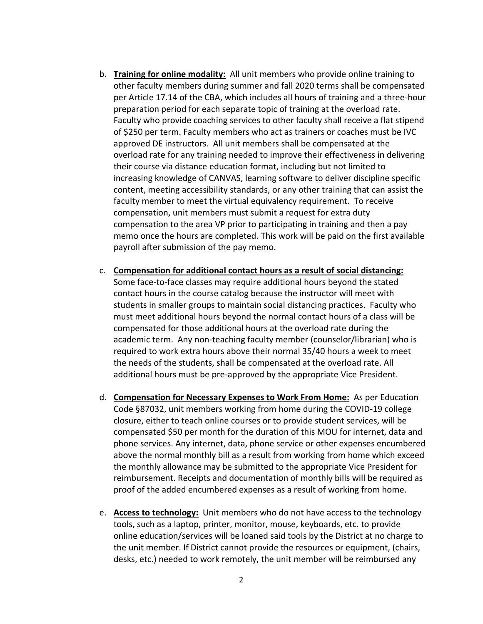- b. **Training for online modality:** All unit members who provide online training to other faculty members during summer and fall 2020 terms shall be compensated per Article 17.14 of the CBA, which includes all hours of training and a three-hour preparation period for each separate topic of training at the overload rate. Faculty who provide coaching services to other faculty shall receive a flat stipend of \$250 per term. Faculty members who act as trainers or coaches must be IVC approved DE instructors. All unit members shall be compensated at the overload rate for any training needed to improve their effectiveness in delivering their course via distance education format, including but not limited to increasing knowledge of CANVAS, learning software to deliver discipline specific content, meeting accessibility standards, or any other training that can assist the faculty member to meet the virtual equivalency requirement. To receive compensation, unit members must submit a request for extra duty compensation to the area VP prior to participating in training and then a pay memo once the hours are completed. This work will be paid on the first available payroll after submission of the pay memo.
- c. **Compensation for additional contact hours as a result of social distancing:** Some face-to-face classes may require additional hours beyond the stated contact hours in the course catalog because the instructor will meet with students in smaller groups to maintain social distancing practices. Faculty who must meet additional hours beyond the normal contact hours of a class will be compensated for those additional hours at the overload rate during the academic term. Any non-teaching faculty member (counselor/librarian) who is required to work extra hours above their normal 35/40 hours a week to meet the needs of the students, shall be compensated at the overload rate. All additional hours must be pre-approved by the appropriate Vice President.
- d. **Compensation for Necessary Expenses to Work From Home:** As per Education Code §87032, unit members working from home during the COVID-19 college closure, either to teach online courses or to provide student services, will be compensated \$50 per month for the duration of this MOU for internet, data and phone services. Any internet, data, phone service or other expenses encumbered above the normal monthly bill as a result from working from home which exceed the monthly allowance may be submitted to the appropriate Vice President for reimbursement. Receipts and documentation of monthly bills will be required as proof of the added encumbered expenses as a result of working from home.
- e. **Access to technology:** Unit members who do not have access to the technology tools, such as a laptop, printer, monitor, mouse, keyboards, etc. to provide online education/services will be loaned said tools by the District at no charge to the unit member. If District cannot provide the resources or equipment, (chairs, desks, etc.) needed to work remotely, the unit member will be reimbursed any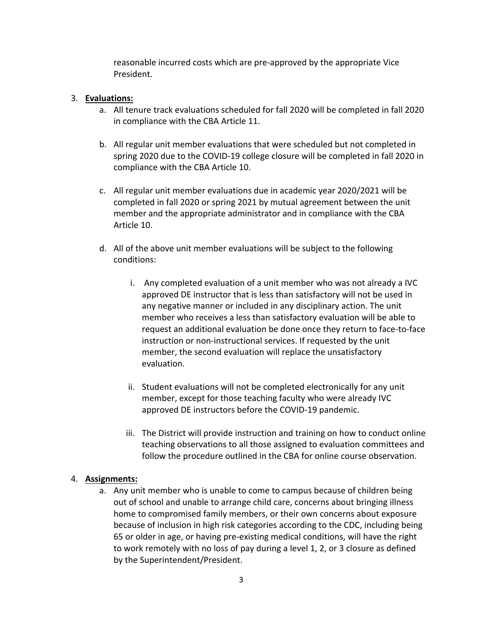reasonable incurred costs which are pre-approved by the appropriate Vice President.

#### 3. **Evaluations:**

- a. All tenure track evaluations scheduled for fall 2020 will be completed in fall 2020 in compliance with the CBA Article 11.
- b. All regular unit member evaluations that were scheduled but not completed in spring 2020 due to the COVID-19 college closure will be completed in fall 2020 in compliance with the CBA Article 10.
- c. All regular unit member evaluations due in academic year 2020/2021 will be completed in fall 2020 or spring 2021 by mutual agreement between the unit member and the appropriate administrator and in compliance with the CBA Article 10.
- d. All of the above unit member evaluations will be subject to the following conditions:
	- i. Any completed evaluation of a unit member who was not already a IVC approved DE instructor that is less than satisfactory will not be used in any negative manner or included in any disciplinary action. The unit member who receives a less than satisfactory evaluation will be able to request an additional evaluation be done once they return to face-to-face instruction or non-instructional services. If requested by the unit member, the second evaluation will replace the unsatisfactory evaluation.
	- ii. Student evaluations will not be completed electronically for any unit member, except for those teaching faculty who were already IVC approved DE instructors before the COVID-19 pandemic.
	- iii. The District will provide instruction and training on how to conduct online teaching observations to all those assigned to evaluation committees and follow the procedure outlined in the CBA for online course observation.

#### 4. **Assignments:**

a. Any unit member who is unable to come to campus because of children being out of school and unable to arrange child care, concerns about bringing illness home to compromised family members, or their own concerns about exposure because of inclusion in high risk categories according to the CDC, including being 65 or older in age, or having pre-existing medical conditions, will have the right to work remotely with no loss of pay during a level 1, 2, or 3 closure as defined by the Superintendent/President.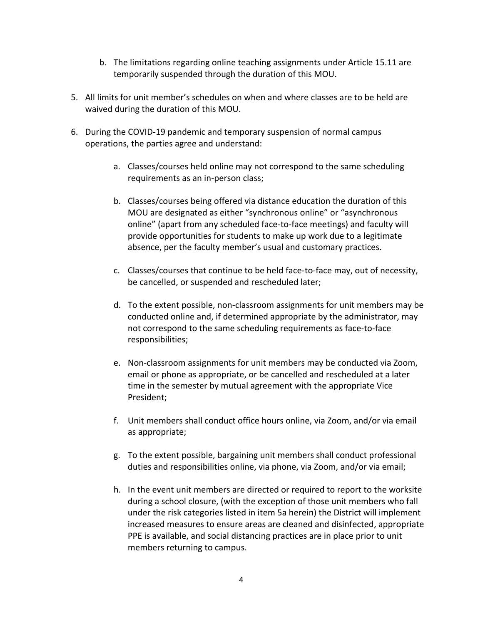- b. The limitations regarding online teaching assignments under Article 15.11 are temporarily suspended through the duration of this MOU.
- 5. All limits for unit member's schedules on when and where classes are to be held are waived during the duration of this MOU.
- 6. During the COVID-19 pandemic and temporary suspension of normal campus operations, the parties agree and understand:
	- a. Classes/courses held online may not correspond to the same scheduling requirements as an in-person class;
	- b. Classes/courses being offered via distance education the duration of this MOU are designated as either "synchronous online" or "asynchronous online" (apart from any scheduled face-to-face meetings) and faculty will provide opportunities for students to make up work due to a legitimate absence, per the faculty member's usual and customary practices.
	- c. Classes/courses that continue to be held face-to-face may, out of necessity, be cancelled, or suspended and rescheduled later;
	- d. To the extent possible, non-classroom assignments for unit members may be conducted online and, if determined appropriate by the administrator, may not correspond to the same scheduling requirements as face-to-face responsibilities;
	- e. Non-classroom assignments for unit members may be conducted via Zoom, email or phone as appropriate, or be cancelled and rescheduled at a later time in the semester by mutual agreement with the appropriate Vice President;
	- f. Unit members shall conduct office hours online, via Zoom, and/or via email as appropriate;
	- g. To the extent possible, bargaining unit members shall conduct professional duties and responsibilities online, via phone, via Zoom, and/or via email;
	- h. In the event unit members are directed or required to report to the worksite during a school closure, (with the exception of those unit members who fall under the risk categories listed in item 5a herein) the District will implement increased measures to ensure areas are cleaned and disinfected, appropriate PPE is available, and social distancing practices are in place prior to unit members returning to campus.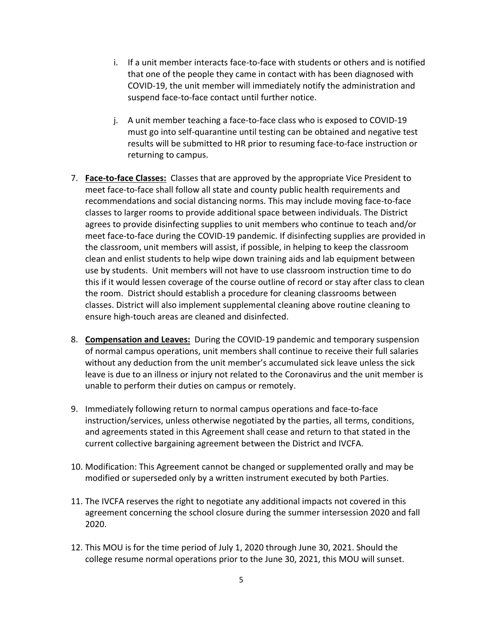- i. If a unit member interacts face-to-face with students or others and is notified that one of the people they came in contact with has been diagnosed with COVID-19, the unit member will immediately notify the administration and suspend face-to-face contact until further notice.
- j. A unit member teaching a face-to-face class who is exposed to COVID-19 must go into self-quarantine until testing can be obtained and negative test results will be submitted to HR prior to resuming face-to-face instruction or returning to campus.
- 7. **Face-to-face Classes:** Classes that are approved by the appropriate Vice President to meet face-to-face shall follow all state and county public health requirements and recommendations and social distancing norms. This may include moving face-to-face classes to larger rooms to provide additional space between individuals. The District agrees to provide disinfecting supplies to unit members who continue to teach and/or meet face-to-face during the COVID-19 pandemic. If disinfecting supplies are provided in the classroom, unit members will assist, if possible, in helping to keep the classroom clean and enlist students to help wipe down training aids and lab equipment between use by students. Unit members will not have to use classroom instruction time to do this if it would lessen coverage of the course outline of record or stay after class to clean the room. District should establish a procedure for cleaning classrooms between classes. District will also implement supplemental cleaning above routine cleaning to ensure high-touch areas are cleaned and disinfected.
- 8. **Compensation and Leaves:** During the COVID-19 pandemic and temporary suspension of normal campus operations, unit members shall continue to receive their full salaries without any deduction from the unit member's accumulated sick leave unless the sick leave is due to an illness or injury not related to the Coronavirus and the unit member is unable to perform their duties on campus or remotely.
- 9. Immediately following return to normal campus operations and face-to-face instruction/services, unless otherwise negotiated by the parties, all terms, conditions, and agreements stated in this Agreement shall cease and return to that stated in the current collective bargaining agreement between the District and IVCFA.
- 10. Modification: This Agreement cannot be changed or supplemented orally and may be modified or superseded only by a written instrument executed by both Parties.
- 11. The IVCFA reserves the right to negotiate any additional impacts not covered in this agreement concerning the school closure during the summer intersession 2020 and fall 2020.
- 12. This MOU is for the time period of July 1, 2020 through June 30, 2021. Should the college resume normal operations prior to the June 30, 2021, this MOU will sunset.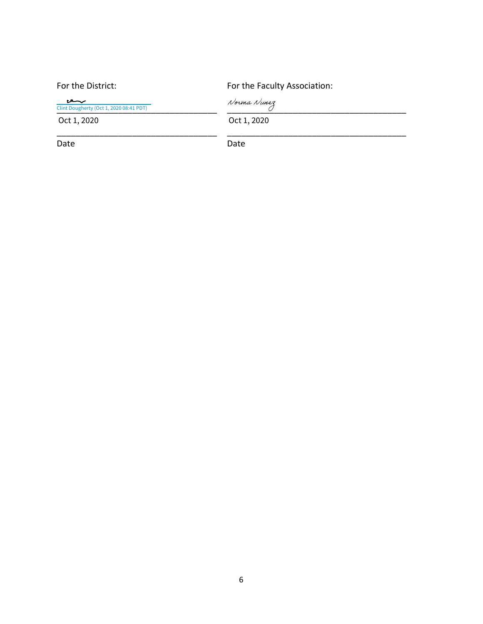| For the District:                               | For the Faculty Association: |
|-------------------------------------------------|------------------------------|
| ىرسى<br>Clint Dougherty (Oct 1, 2020 08:41 PDT) | Norma Nunez                  |
| Oct 1, 2020                                     | Oct 1, 2020                  |
| Date                                            | Date                         |